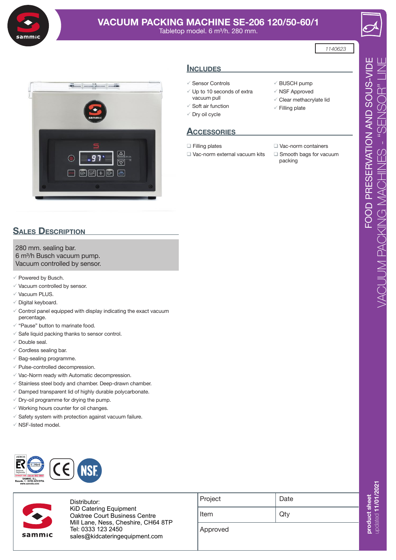

# **VACUUM PACKING MACHINE SE-206 120/50-60/1**

Tabletop model. 6 m<sup>3</sup>/h. 280 mm.



### *1140623*

**Includes**  $\checkmark$  Sensor Controls  $\sqrt{ }$  Up to 10 seconds of extra vacuum pull  $\checkmark$  Soft air function  $\sqrt{2}$  Drv oil cycle

## **Accessories**

- □ Filling plates
- Vac-norm external vacuum kits
- Vac-norm containers

 $\checkmark$  BUSCH pump  $\sqrt{}$  NSF Approved  $\checkmark$  Clear methacrylate lid

 $\checkmark$  Filling plate

□ Smooth bags for vacuum packing



## **SALES DESCRIPTION**

280 mm. sealing bar. 6 m³/h Busch vacuum pump. Vacuum controlled by sensor.

- $\checkmark$  Powered by Busch.
- $\checkmark$  Vacuum controlled by sensor.
- $\checkmark$  Vacuum PLUS.
- $\checkmark$  Digital keyboard.
- $\checkmark$  Control panel equipped with display indicating the exact vacuum percentage.
- $\checkmark$  "Pause" button to marinate food.
- $\checkmark$  Safe liquid packing thanks to sensor control.
- $\checkmark$  Double seal.
- $\checkmark$  Cordless sealing bar.
- $\checkmark$  Bag-sealing programme.
- $\checkmark$  Pulse-controlled decompression.
- $\checkmark$  Vac-Norm ready with Automatic decompression.
- $\checkmark$  Stainless steel body and chamber. Deep-drawn chamber.
- $\sqrt{2}$  Damped transparent lid of highly durable polycarbonate.
- $\checkmark$  Dry-oil programme for drying the pump.
- $\checkmark$  Working hours counter for oil changes.
- $\checkmark$  Safety system with protection against vacuum failure.
- $\checkmark$  NSF-listed model.





Distributor: KiD Catering Equipment Oaktree Court Business Centre Mill Lane, Ness, Cheshire, CH64 8TP Tel: 0333 123 2450 **uksales@sammic.com** sales@kidcateringequipment.com**Tel.: +44 0116 246 1900**

| Project | Date |
|---------|------|
| Item    | Qtv  |

Approved

## i<br>1/2021 **00000000** product sheet **duct she** updated **11/01/2**